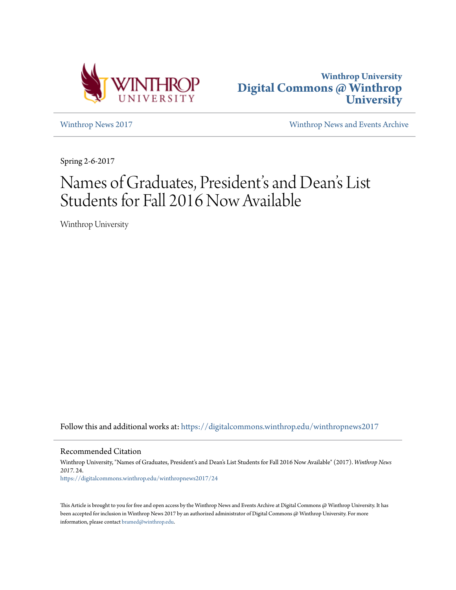



[Winthrop News 2017](https://digitalcommons.winthrop.edu/winthropnews2017?utm_source=digitalcommons.winthrop.edu%2Fwinthropnews2017%2F24&utm_medium=PDF&utm_campaign=PDFCoverPages) [Winthrop News and Events Archive](https://digitalcommons.winthrop.edu/winthropnewsarchives?utm_source=digitalcommons.winthrop.edu%2Fwinthropnews2017%2F24&utm_medium=PDF&utm_campaign=PDFCoverPages)

Spring 2-6-2017

## Names of Graduates, President' s and Dean 's List Students for Fall 2016 Now Available

Winthrop University

Follow this and additional works at: [https://digitalcommons.winthrop.edu/winthropnews2017](https://digitalcommons.winthrop.edu/winthropnews2017?utm_source=digitalcommons.winthrop.edu%2Fwinthropnews2017%2F24&utm_medium=PDF&utm_campaign=PDFCoverPages)

Recommended Citation

Winthrop University, "Names of Graduates, President's and Dean's List Students for Fall 2016 Now Available" (2017). *Winthrop News 2017*. 24. [https://digitalcommons.winthrop.edu/winthropnews2017/24](https://digitalcommons.winthrop.edu/winthropnews2017/24?utm_source=digitalcommons.winthrop.edu%2Fwinthropnews2017%2F24&utm_medium=PDF&utm_campaign=PDFCoverPages)

This Article is brought to you for free and open access by the Winthrop News and Events Archive at Digital Commons @ Winthrop University. It has been accepted for inclusion in Winthrop News 2017 by an authorized administrator of Digital Commons @ Winthrop University. For more information, please contact [bramed@winthrop.edu](mailto:bramed@winthrop.edu).